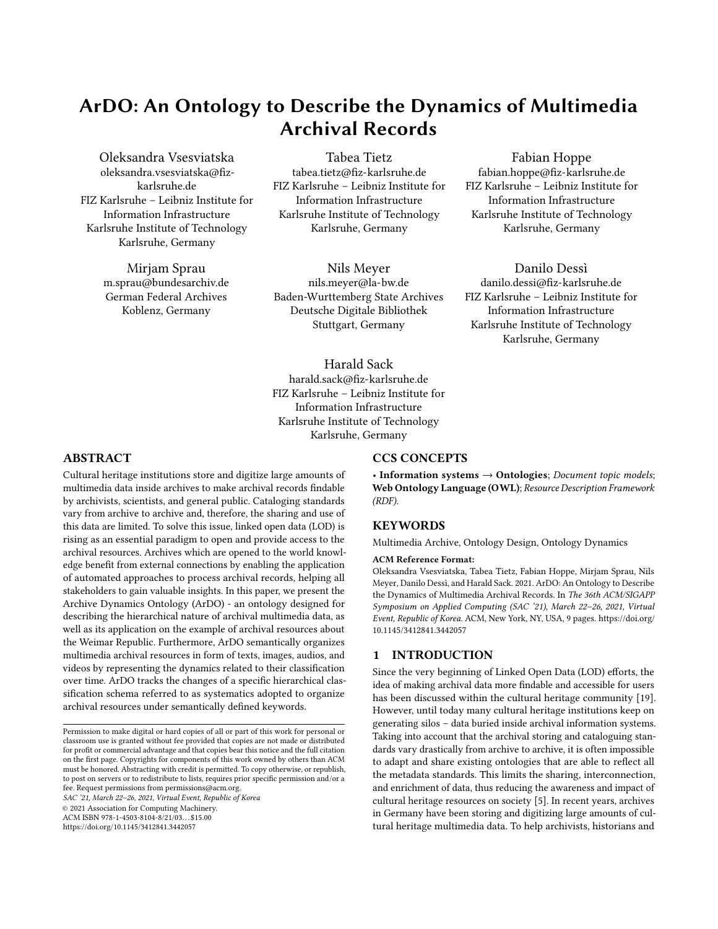# ArDO: An Ontology to Describe the Dynamics of Multimedia Archival Records

Oleksandra Vsesviatska oleksandra.vsesviatska@fizkarlsruhe.de FIZ Karlsruhe – Leibniz Institute for Information Infrastructure Karlsruhe Institute of Technology Karlsruhe, Germany

> Mirjam Sprau m.sprau@bundesarchiv.de German Federal Archives Koblenz, Germany

Tabea Tietz tabea.tietz@fiz-karlsruhe.de FIZ Karlsruhe – Leibniz Institute for Information Infrastructure Karlsruhe Institute of Technology Karlsruhe, Germany

Nils Meyer nils.meyer@la-bw.de Baden-Wurttemberg State Archives Deutsche Digitale Bibliothek Stuttgart, Germany

Fabian Hoppe

fabian.hoppe@fiz-karlsruhe.de FIZ Karlsruhe – Leibniz Institute for Information Infrastructure Karlsruhe Institute of Technology Karlsruhe, Germany

Danilo Dessì danilo.dessi@fiz-karlsruhe.de FIZ Karlsruhe – Leibniz Institute for Information Infrastructure Karlsruhe Institute of Technology Karlsruhe, Germany

# Harald Sack harald.sack@fiz-karlsruhe.de FIZ Karlsruhe – Leibniz Institute for Information Infrastructure Karlsruhe Institute of Technology Karlsruhe, Germany

## ABSTRACT

Cultural heritage institutions store and digitize large amounts of multimedia data inside archives to make archival records findable by archivists, scientists, and general public. Cataloging standards vary from archive to archive and, therefore, the sharing and use of this data are limited. To solve this issue, linked open data (LOD) is rising as an essential paradigm to open and provide access to the archival resources. Archives which are opened to the world knowledge benefit from external connections by enabling the application of automated approaches to process archival records, helping all stakeholders to gain valuable insights. In this paper, we present the Archive Dynamics Ontology (ArDO) - an ontology designed for describing the hierarchical nature of archival multimedia data, as well as its application on the example of archival resources about the Weimar Republic. Furthermore, ArDO semantically organizes multimedia archival resources in form of texts, images, audios, and videos by representing the dynamics related to their classification over time. ArDO tracks the changes of a specific hierarchical classification schema referred to as systematics adopted to organize archival resources under semantically defined keywords.

SAC '21, March 22–26, 2021, Virtual Event, Republic of Korea

© 2021 Association for Computing Machinery.

ACM ISBN 978-1-4503-8104-8/21/03. . . \$15.00

<https://doi.org/10.1145/3412841.3442057>

#### CCS CONCEPTS

• Information systems  $\rightarrow$  Ontologies; Document topic models; Web Ontology Language (OWL); Resource Description Framework (RDF).

#### **KEYWORDS**

Multimedia Archive, Ontology Design, Ontology Dynamics

#### ACM Reference Format:

Oleksandra Vsesviatska, Tabea Tietz, Fabian Hoppe, Mirjam Sprau, Nils Meyer, Danilo Dessì, and Harald Sack. 2021. ArDO: An Ontology to Describe the Dynamics of Multimedia Archival Records. In The 36th ACM/SIGAPP Symposium on Applied Computing (SAC '21), March 22–26, 2021, Virtual Event, Republic of Korea. ACM, New York, NY, USA, [9](#page-8-0) pages. [https://doi.org/](https://doi.org/10.1145/3412841.3442057) [10.1145/3412841.3442057](https://doi.org/10.1145/3412841.3442057)

#### 1 INTRODUCTION

Since the very beginning of Linked Open Data (LOD) efforts, the idea of making archival data more findable and accessible for users has been discussed within the cultural heritage community [\[19\]](#page-8-1). However, until today many cultural heritage institutions keep on generating silos – data buried inside archival information systems. Taking into account that the archival storing and cataloguing standards vary drastically from archive to archive, it is often impossible to adapt and share existing ontologies that are able to reflect all the metadata standards. This limits the sharing, interconnection, and enrichment of data, thus reducing the awareness and impact of cultural heritage resources on society [\[5\]](#page-8-2). In recent years, archives in Germany have been storing and digitizing large amounts of cultural heritage multimedia data. To help archivists, historians and

Permission to make digital or hard copies of all or part of this work for personal or classroom use is granted without fee provided that copies are not made or distributed for profit or commercial advantage and that copies bear this notice and the full citation on the first page. Copyrights for components of this work owned by others than ACM must be honored. Abstracting with credit is permitted. To copy otherwise, or republish, to post on servers or to redistribute to lists, requires prior specific permission and/or a fee. Request permissions from permissions@acm.org.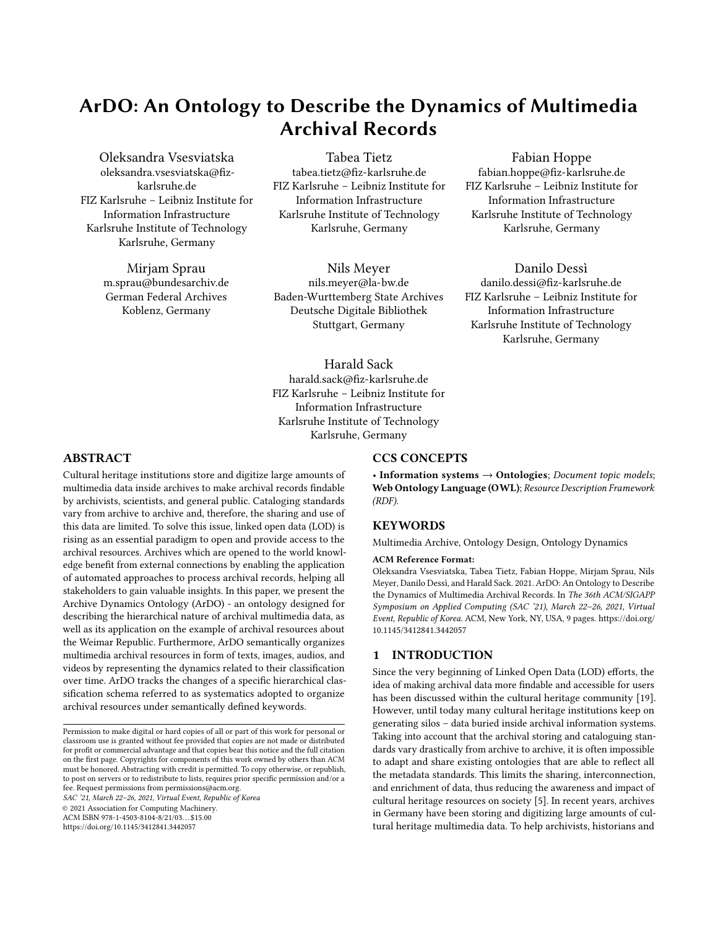the general public to access and explore these resources, web-based platforms are being created to provide access to rich archive records. One of these platforms is Archivportal- $D^1$  $D^1$ , the German Archives Portal, which offers a sector-specific access to the data of the German Digital Library (Deutsche Digitale Bibliothek,  $\rm{DDB})^2$  $\rm{DDB})^2$  enabling access to information on archive institutions from all over Germany. The project "Subject Related Points of Access within Archivportal-D on Example of the subject area Weimar Republic" is based on the Archivportal-D platform with the goal to make a specific selection of multimedia archival records, which are related to the Weimar Republic – the first German democracy, findable and accessible.

In the platform, various core conditions, such as the variety of content descriptors and different users' needs, must be considered to exploit the cultural heritage data. Within the project, a key requirement was to establish a linked data model to represent the organizational semantics behind archives. In fact, arranging the data in a structured semantic model allows users to explore the archive via sophisticated semantic search. For example, through external links the information represented in the archive can be enriched with additional external information. Moreover, since data includes thousands of archival records, the modelling of data as linked data allows its automatic processing, speeding up the archive exploration and analysis. One more requirement for delivering archival resources to the public involves their annotation with semantic metadata that might also help non-experts to find the appropriate content, e.g., via semantic search and faceted browsing. In order to accomplish this requirement, a new hierarchical subject classification further on referred to as systematics has been defined and implemented by archivists to facilitate subject based annotations for archival records. One of the major challenges of systematics is its dynamics due to structural variations triggered by newly available archival content for which no appropriate annotation vocabulary exists so far. Structural changes within systematics lead to relevant semantic transformations which must be taken into account within the archive linked data model.

This paper presents the Archive Dynamics Ontology<sup>[3](#page-1-2)</sup> (ArDO), a novel ontology with 12 classes and 19 relationships designed to represent the evolving semantics of multimedia archives. In detail the contribution of this paper is twofold:

- An ontology component to describe subject related access to multimedia archives within the Archivportal-D platform, as well as to depict the hierarchical structure of the archival records.
- A novel ontology component to capture and track changes over time within a hierarchical classification scheme (systematics) employed by archivists.

The remainder of this paper is organized as follows. Section [2](#page-1-3) presents the related work and points out the existing gaps. Section [3](#page-2-0) depicts the target scenario. In Section [4,](#page-3-0) the details of the ArDO ontology are presented. Section [5](#page-6-0) discusses the proposed design and its use to deal with competency questions. Finally, Section [6](#page-7-0) concludes the paper and highlights future work.

## <span id="page-1-3"></span>2 RELATED WORK

Shared and linked data is surely a common need to adhere to interoperability standards for preserving the richness of data and making use of archival resources [\[25\]](#page-8-3). In fact, in literature ontologies and linked data have already proven to be key technologies for supporting practitioners to explore and consume archival records [\[15,](#page-8-4) [16\]](#page-8-5). To name an example within the cultural heritage domain, a recent linked data resource is Linked Stage Graph [\[23\]](#page-8-6), a Knowledge Graph (KG) on the foundation of historical data released by the Baden-Württemberg State Archives about the Stuttgart State Theatres $^4$  $^4$ . However, the need to deal with multimedia archival resources for specific purposes still persists (e.g., discovering potential semantic links that might exist between multimedia archival resources to increase findability and facilitate intuitive exploration [\[9\]](#page-8-7)). Examples of existing semantic technologies that among others can be leveraged in this context are well-known data models for cultural heritage [\[6\]](#page-8-8) as well as ontologies such as Bibo $^5$  $^5$ , FaBiO [\[21\]](#page-8-9), RiC-O $^6$  $^6$ , ArCo [\[4\]](#page-8-10), and Arkivo [\[20\]](#page-8-11).

CIDOC Conceptual Reference Model (CRM)<sup>[7](#page-1-7)</sup> is a widely used cultural heritage model with the goal to provide information integration and exchange between heterogeneous resources. However, one of its limitations is caused by the fact that it is not implemented for specific use cases which often require to model applicationdependent aspects. Another relevant model in this context is the Europeana Data Model (EDM) [\[7\]](#page-8-12) which integrates various standards to facilitate data interoperability between various cultural heritage institutions, and provides a common model to deliver re-sources to citizens through the Europeana portal<sup>[8](#page-1-8)</sup>. For our target scenario, CIDOC CRM and EDM models were currently considered only as guidelines since there are specific application requirements (e.g., the versioning of archival records arrangement under keywords) that strongly depend on our target application.

Due to the similarities between archival resources and published textual documents, ontologies describing document organization and their annotations can be found in the editorial domain. In fact, tasks performed to catalog resources, such as locating a resource under certain categories, are performed by both librarians and archivists. In the editorial domain, Bibo is an example of an ontology targeted to represent documents in RDF. It can be exploited both as a document classification and citation ontology, and is particularly suited for describing bibliographic references. It has bibo:Document as a core class, and models documents in narrower classes such as bibo:AcademicArticle, bibo:Journal, bibo:Book to describe its elements. Another relevant resource is FaBiO, an ontology developed according to the Functional Requirements for Bibliographic Records (FRBR) for describing published textual resources and their references with the goal of supporting the semantic publishing task. Resources can vary from academic papers, books, newspapers, vocabularies, and so on. It also allows to model archival resources.

<span id="page-1-0"></span><sup>1</sup><https://www.archivportal-d.de/>

<span id="page-1-1"></span> $^{2}$ <https://www.deutsche-digitale-bibliothek.de/>

<span id="page-1-2"></span><sup>&</sup>lt;sup>3</sup>The reader can find the ontology at the link: [https://github.com/ISE-FIZKarlsruhe/](https://github.com/ISE-FIZKarlsruhe/ArDO) [ArDO.](https://github.com/ISE-FIZKarlsruhe/ArDO) A full documentation according to<https://www.w3.org/TR/swbp-vocab-pub/> is provided in the repository. Please also note that ArDO as well as a Knowledge Graph describing DDB archival resources will be further deployed and publicly available within the Archivportal-D platform.

<span id="page-1-4"></span><sup>4</sup><http://slod.fiz-karlsruhe.de/>

<span id="page-1-6"></span><span id="page-1-5"></span><sup>5</sup><https://www.dublincore.org/specifications/bibo/bibo/bibo.rdf.xml>

<sup>6</sup><https://www.ica.org/standards/RiC/ontology.html>

<span id="page-1-7"></span><sup>7</sup><http://www.cidoc-crm.org/>

<span id="page-1-8"></span><sup>8</sup><https://www.europeana.eu/en>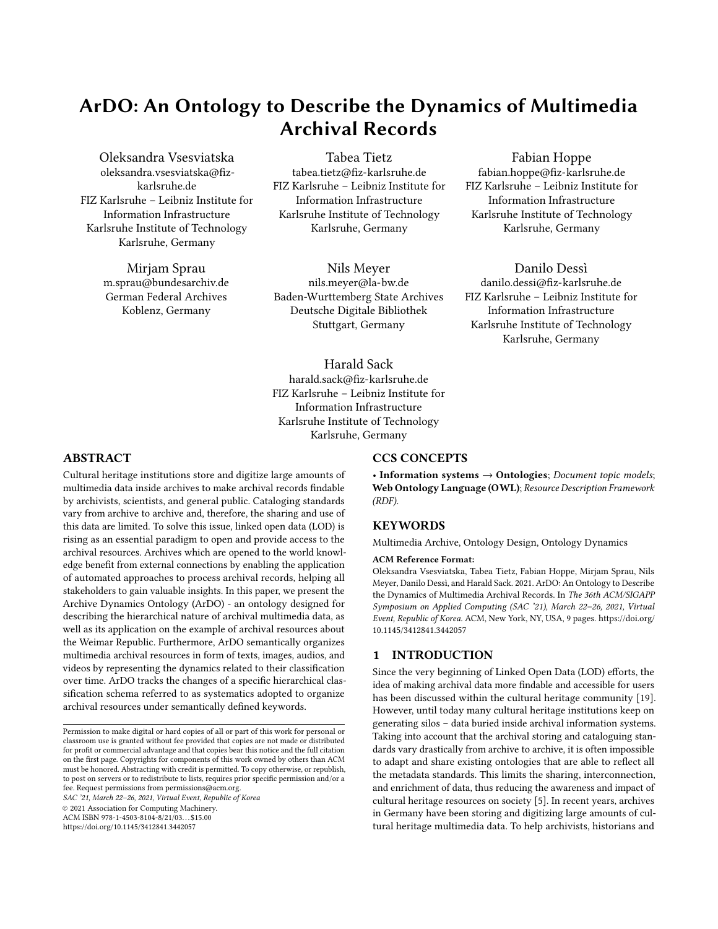Among its classes, FaBiO describes archival records. However, it does not accommodate specific domain requirements, i.e., various types of archival records and their relations are not taken into account. This mostly depends on the fact that archival records are not intended to be published. Therefore, Bibo and FaBiO can only partially be exploited to describe archive peculiarities.

This gap has recently been reduced by further developed cultural heritage ontologies RiC-O, ArCo and Arkivo. RiC-O is an ontology designed to describe archival records. It takes into account the need of producing a generalized description of archives. For example, it provides a single class for representing any kind of records, or agents, i.e., people who store or utilize the records. However, as it is stated in the documentation it might not satisfy specific requirements made by an archival institution. Specifically to our use case, RiC-O is limited in representing the hierarchical structure of our archive as well as the dynamics behind the adopted classification schema. ArCo is an evolving resource in form of a KG that connects various ontologies about Italian document collections and artifacts, and provides ontology patterns to connect people and locations, about cultural heritage events. Arkivo was developed in 2018 and provides classes to model the structure of archives as well as the historical events. However, its class hierarchy for describing archival records can only partially fit our target scenario where an archival record can belong to multiple other archival records. In addition, as a requirement in our ontology we need to provide provenance information about the arrangement of archival records under semantic keywords, which can be subject to changes due to new analyses performed on the underlying multimedia archival record contents.

In the beginning of the digitization process of archival resources, a classification scheme, i.e., a systematics, is usually introduced. However, it can change overtime. Some of the concepts may become obsolete and are deleted from the schema, though they have been already used for record annotations. Therefore, the additional contribution of the presented paper is the introduction of a dynamic storage scheme which supports time-varying instances of the ontology. In contrast to ontology evolution, when only one ontology version is maintained and the old versions cannot be retrieved, some domains require to keep track of the various instances across all versions. The semantic versioning of a systematics presented in this paper is inspired by the medical [\[10\]](#page-8-13) and e-Government [\[11\]](#page-8-14) domains, which contain dynamic information such as patients symptoms that change overtime and the division of people according to specific groups - unemployed, self-employed, employed, respectively. In this paper, the dynamics of a systematics in the context of archival records are addressed, however the proposed method may further be applied to any domain with a non-static classification scheme, e.g. blog posts, recipes. In Section [4.2](#page-4-0) the semantic versioning method that manages changes of systematics concepts and their semantic relationships are described.

## <span id="page-2-0"></span>3 USE CASE: ARCHIVAL RECORDS ON WEIMAR REPUBLIC

ArDO was created to describe the dynamics of multimedia archival resources. Archives have the goal to collect historical records, store these records long-term and make these records accessible to researchers as well as the general public [\[22\]](#page-8-15). In order to fulfill these goals, archive resources have to be categorized to provide a structured and intuitive access for search and exploration to their users. In recent years, archival platforms (e.g. *Archivportal Thüringen* $^9$  $^9$ *,* Archives Portal Europe<sup>[10](#page-2-2)</sup>, Archive in Nordrhein-Westfalen<sup>[11](#page-2-3)</sup>) have been created with the intent to provide access to a specific subdomain of archival resources. For instance, this might refer to a certain time period, geographical region or a specific person or organization of interest. This topic based access often also combines archival records of multiple archives in one platform. Archival records are special within the cultural heritage domain in two ways: (1) They were authored at a point in history without the original intent of being published and read by the general public. (2) Each record is unique and is stored by a single archive. Therefore, new classification schemes have to be created for subject specific entries depending on the topic of the archival records. In contrast, libraries are able to reuse more general already existing and established classification schemes and allow to categorize (at least to some extent) shared records and topics. Furthermore, whenever another archive provides access to additional records within the same subject specific platform, and whenever new records are digitized, the classification scheme has to be accordingly adapted, i.e., it is highly dynamic. When creating an ontology that models the classification of these topic based archival resources, these dynamics have to be taken into account.

As initial example ArDO is utilized for the subject specific access of the Weimar Republic created during the project "Subject Related Points of Access within Archivportal-D on Example of the subject area Weimar Republic". Due to the 100 year anniversary of the Weimar Republic in 2018 a noticeable demand for historical resources of that time evolved from historical researchers as well as from the German general public. On that account, this sub-domain has been considered well suited for a subject specific access. Two digitization projects by the German Federal Archives and the Baden-Württemberg State Archives have compiled a large number of relevant archival records from ministries, public institutions, corporate bodies and noteworthy individuals from this particular period to be digitized and described [\[13\]](#page-8-16). These 21,043 records provide the foundation for the subject specific archival platform. Consequently, it is the data basis for ArDO as well. It covers all aspects of politics, economy, society and everyday life in Germany from 1918 to 1933. For instance, there are records related to the Versailles peace negotiations, election campaign posters, food provisions and monetary inflation, handwritten letters from former nobility and monarchs, and many more. The digitized records consist of descriptive metadata and digitized multimedia files. Archivists create metadata to describe the content of archival documents to make it findable and accessible. Each document is given a title describing the content in a concise manner and if necessary an abstract containing more details about the content of each record. Due to the special nature of archival records, they are stored in a hierarchical manner in a file system. This creates a context, i.e., the list of ancestors of an archival record by traversing up the the file system hierarchy, which

<span id="page-2-1"></span><sup>9</sup><https://www.archive-in-thueringen.de/de/>

<span id="page-2-2"></span><sup>10</sup><https://www.archivesportaleurope.net/>

<span id="page-2-3"></span><sup>11</sup><https://www.archive.nrw.de/>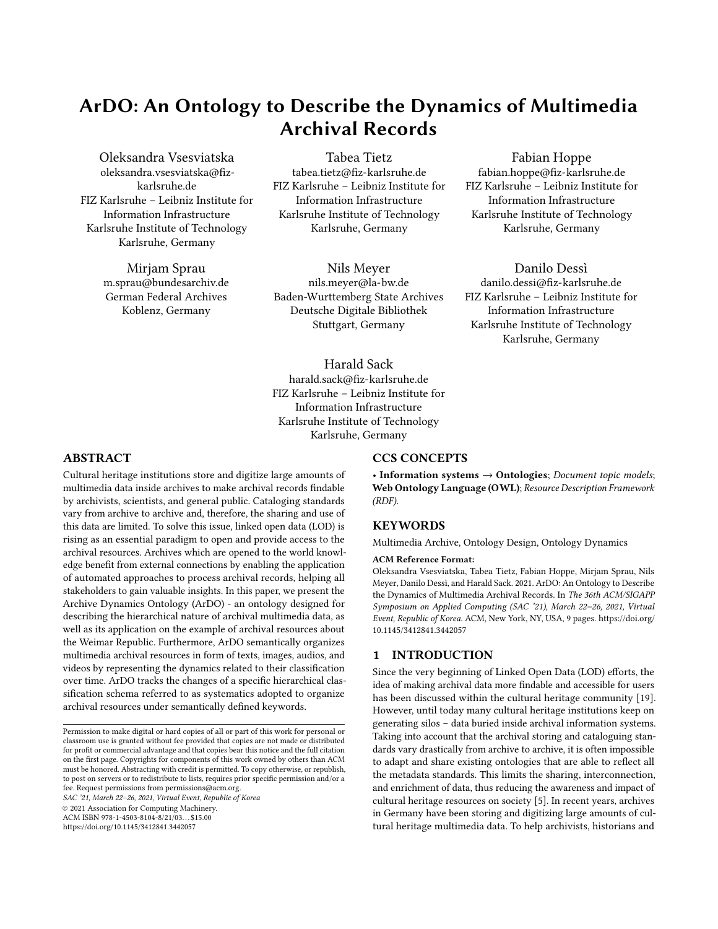denotes a substantial part of the content and has to be considered for any classification or retrieval.

The necessary classification scheme has been developed by domain experts, i.e., archivists and historical researchers. Based on their expert knowledge, the available data of the Archivportal-D and existing classification systems from LeoBW<sup>[12](#page-3-1)</sup>, Wikipedia<sup>[13](#page-3-2)</sup> and IPTC NewsCodes<sup>[14](#page-3-3)</sup>, 881 specific subject keywords have been devised. In order to further structure these highly specialized keywords 17 categories and 121 subcategories have been introduced, as, e.g., "government and administration", "foreign affairs", "society" and "media". Keywords are linked to these broader categories, which enable the retrieval of fine-grained keywords by narrowing down their more general topic. This goal in mind, the hierarchical subject classification allows to link a keyword to multiple categories. Therefore, the systematics differs from a strict hierarchical structure being obeyed in most taxonomies, which assign each keyword only one higher level category. Aside from the subject classification an additional geographical classification has been introduced due to the regional context of many documents. It follows the same structure and principles as the subject classification.

### <span id="page-3-0"></span>4 ARCHIVE DYNAMICS ONTOLOGY DESIGN

The Archive Dynamics Ontology (ArDO) is an ontology for multimedia archival resources focusing on the dynamics of archives. The ontology was developed based on historical documents of Weimar Republic that are being digitized by the German Federal Archive and the Baden-Württemberg State Archives. The aim of ArDO is to structure the metadata information obtained from the archives, capture historical knowledge through a dynamic logical conceptual framework which is designed to classify archival resources, and expand this knowledge by enriching steps involving external resources. ArDO was created as one of the final contributions of the project to make the archival resources and their metadata available as LOD. More specifically, the ontology design phase started after the domain experts had created the systematics, and continued to adapt to the changes within the semantic model. Thus, a well established methodology (e.g., as defined in [\[1\]](#page-8-17)) of ontology construction was not fully applied. The current version of ArDO includes 12 classes and 19 semantic relationships. It is available online and builds on  $SKOS^{15}$  $SKOS^{15}$  $SKOS^{15}$  [\[17\]](#page-8-18), PAV<sup>[16](#page-3-5)</sup>, Web Annotation Ontol-ogy<sup>[17](#page-3-6)</sup>, FOAF<sup>[18](#page-3-7)</sup> [\[3\]](#page-8-19), Bibo<sup>[19](#page-3-8)</sup> and OWL<sup>[20](#page-3-9)</sup>. ArDO was designed with two core components:

- MultiArch which organizes the archival resources and makes sense of the archive structure.
- DynSyst which allows the management of updates within the systematics while preserving versioning information.

The reader will find further details about ArDO's core components in the subsequent sections.

<span id="page-3-10"></span>

Figure 1: Hierarchical structure of archival documents.

## 4.1 MultiArch

Records of the presented use case are unique and stored by a single archive. Because of this peculiarity, a new class ardo:Record is first defined which differs from existing classes to model archival records. For example, the class rico:Record allows multiple instantiations of the same record which can be considered different based on the context or function it serves. This does not apply to our archive. Archival resources typically are organized in a hierarchical file system. To reflect this hierarchical structure in the ontology, the class ardo:Record has been further extended by sub-classes ardo:Portfolio, ardo:Chapter, ardo:Volume, ardo:Archive and ardo:Dossier. They are disjoint classes and connect with each other via the object property ardo:belongs\_to (see example in Figure [1\)](#page-3-10). The class ardo:Portfolio is a collection of archives of one provenance and is always the top level element of the hierarchy. Archives and dossiers are the smallest units of a portfolio, their allocation may vary depending on an archival resource (i.e., various paths between an archive or dossier and a portfolio can exist). For example, the archive resource "Novemberrevolution 1918" belongs to chapter "Kriegszielbewegung im 1. Weltkrieg" which in turn belongs to chapter "Einzelne Aktionsbereiche", and then to a portfolio "Alldeutscher Verband". While archive "Soldatenrat der Art. Prüfungskommission Schießplatz Kummersdorf (Krs. Zossen/Bez. Potsdam)" is assigned directly to portfolio "Arbeiter- und Soldatenräte in Deutschland".

Besides the most common metadata used for describing archival resources such as title, language of the document, introduction, provenance, persons and time period, the ontology provides properties to denote the location of a physical archival resource, the number of samples available in archive, material and size of a physical portfolio, as well as the date of the document creation.

In addition to archival text resources ArDO describes multimedia records such as images, audio, video, films. The property ardo:type\_of\_media points out the media type of an archive (e.g., TEXT, IMAGE, AUDIO). Similar to textual documents other

<span id="page-3-1"></span><sup>12</sup><https://www.leo-bw.de/>

<span id="page-3-2"></span> $^{13}{\rm https://de.wikipedia.org/wiki/Kategorie:Weimarer\_Republik}$ 

<span id="page-3-3"></span><sup>14</sup><https://iptc.org/standards/newscodes/>

<span id="page-3-4"></span><sup>15</sup><https://www.w3.org/2004/02/skos/>

<span id="page-3-5"></span><sup>16</sup><https://pav-ontology.github.io/pav/>

<span id="page-3-6"></span><sup>17</sup><https://www.w3.org/ns/oa>

<span id="page-3-7"></span><sup>18</sup><http://xmlns.com/foaf/spec/>

<span id="page-3-8"></span><sup>19</sup>https://www.dublincore.org/specifications/bibo/bibo/bibo.rdf.xml

<span id="page-3-9"></span><sup>20</sup><https://www.w3.org/OWL/>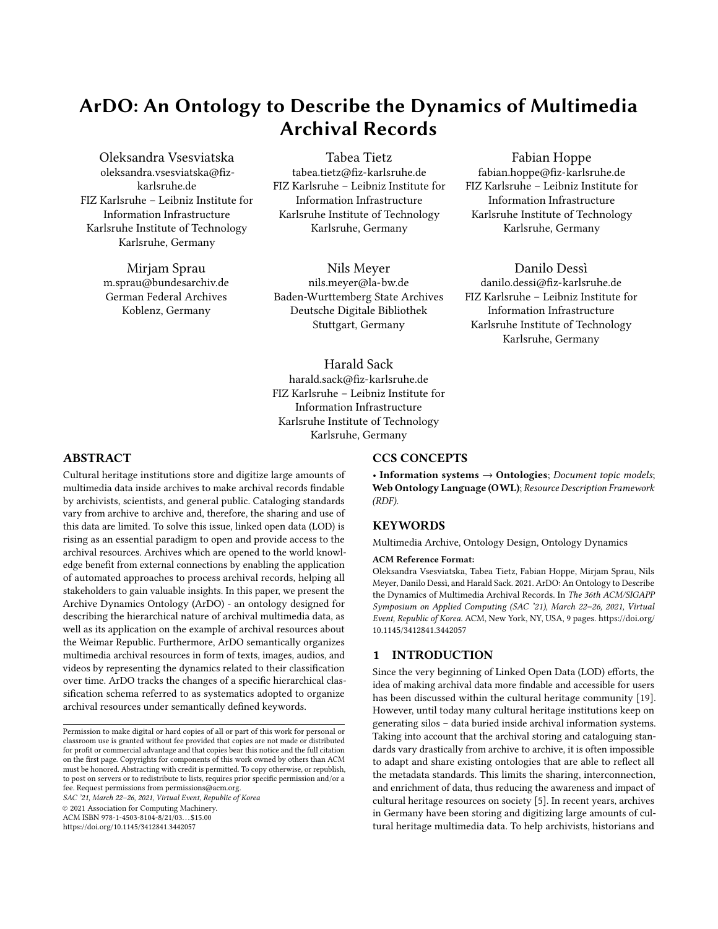<span id="page-4-1"></span>ArDO: An Ontology to Describe the Dynamics of Multimedia Archival Records SAC '21, March 22-26, 2021, Virtual Event, Republic of Korea



Figure 2: An example of graphical content associated to the archive "Provisorische Regierung Württembergs von 1918".

multimedia records may serve as full-fledged archival resources with their own title, provenance information, year, event or depicted persons (the reader can see an example in Figure [2](#page-4-1) which shows a multimedia archival resource publicly accessible at the  $URL<sup>21</sup>$  $URL<sup>21</sup>$  $URL<sup>21</sup>$ ). In case a resource provides additional information to a textual archive, the class bibo:AudioVisualDocument is used for storing films, audio files, and videos, and bibo:Image for storing still-images. For instance to address photos related to a textual archive a sub-class ardo:Archival\_Photo has been defined. The photos can be mapped to the class ardo:Record via property ardo:provides\_multimedia. Since by the time of writing in our use case the majority of archival text resources do not provide a transcribed version, it is useful to map the available metadata with at least the digitized content information as depicted in Figure [3,](#page-4-3) where the archival object located at the URL $^{22}$  $^{22}$  $^{22}$  has not been transcribed yet. For storing such resources a sub-class ardo:Scan has been introduced. Following the same logic subclasses for bibo:AudioVisualDocument have been implemented: ardo:Film to store professional documentary videos that may relate to a specific archival text document; ardo:Video for amateur videos; and ardo:Audio to preserve original audio recordings such as radio recordings or telephone conversations.

MultiArch provides the following semantic relations:

- ardo:belongs\_to indicates that an archival object resides under another archival object. To maximize the inference capability, transitivity and reflexivity characteristics have been inserted to the property, and the inverse property ardo:consists\_of has been implemented.
- ardo:located\_in (inverse of ardo:location\_of) and ardo:findsystem relate an archival resource to its physical and digital locations respectively.
- ardo:provides\_multimedia (inverse of ardo:multimedia\_of) is a relation between an archival

<span id="page-4-3"></span>

Figure 3: A digitized page from archive "Israelitische Oberkirchenbehörde: Wahl der Mitglieder des weiteren Rats".

record and the additional multimedia information that is related to a textual archive.

• ardo:mentions (inverse of ardo:mentioned\_in) relates an archival object to a person that is mentioned/depicted in it.

Finally, the MultiArch ontology component connects to the Dyn-Syst component via the relation ardo: tagged\_with that connects an archival object to semantic keywords it was annotated with.

#### <span id="page-4-0"></span>4.2 DynSyst

One of the most important milestones in digitizing archival material is to make it available for general users who may not be aware of specific metadata such as the correct title of an archive. Thus, domain experts usually work on presenting semantic linchpins between what people search and the multimedia resource that is appropriate to fulfill this specific information need. The usual unit of semantic information available for an archival object are keywords assigned to a document. To store such units in ArDO the class ardo:Keyword has been integrated. The object property ardo:tag\_of (inverse of ardo:tagged\_with) represents the relation between an archive and a keyword. A new class is defined to represent keywords within the archival domain because the process used for defining a new keyword and for assigning it to archival resources complies with well-defined procedures followed by archivists. Therefore, keywords defined for archives semantically differ from those already used in other domains (e.g., those used for phylogenetic studies [\[8\]](#page-8-20)) and need new definitions.

In addition, since the keyword-based annotation may vary from the introduced keyword vocabulary, e.g., instead of keywords from the vocabulary the domain, synonyms or hypernyms are applied, the set of annotations might become inconsistent and difficult to use. To address this problem, domain experts provide a specific hierarchical classification system, i.e., a systematics containing semantic concepts of different hierarchy levels. Such classification frameworks enable users to approach the more specific concepts via generally understandable subject blocks, and subsequently to narrow down

<span id="page-4-2"></span> $\rm ^{21}$  [https://www.deutsche-digitale-bibliothek.de/item/](https://www.deutsche-digitale-bibliothek.de/item/GNRBEXSU54B7XEC5M4PNGQLMROSPEY3S)

[GNRBEXSU54B7XEC5M4PNGQLMROSPEY3S](https://www.deutsche-digitale-bibliothek.de/item/GNRBEXSU54B7XEC5M4PNGQLMROSPEY3S)

<span id="page-4-4"></span><sup>22</sup>[https://www2.landesarchiv-bw.de/ofs21/bild\\_zoom/zoom.php?bestand=4209&id=](https://www2.landesarchiv-bw.de/ofs21/bild_zoom/zoom.php?bestand=4209&id=65716&gewaehlteSeite=01_0000074846_0002_1-74846-2.jpg&leo=1&screenbreite=1280&screenhoehe=720) [65716&gewaehlteSeite=01\\_0000074846\\_0002\\_1-74846-2.jpg&leo=1&screenbreite=](https://www2.landesarchiv-bw.de/ofs21/bild_zoom/zoom.php?bestand=4209&id=65716&gewaehlteSeite=01_0000074846_0002_1-74846-2.jpg&leo=1&screenbreite=1280&screenhoehe=720) [1280&screenhoehe=720](https://www2.landesarchiv-bw.de/ofs21/bild_zoom/zoom.php?bestand=4209&id=65716&gewaehlteSeite=01_0000074846_0002_1-74846-2.jpg&leo=1&screenbreite=1280&screenhoehe=720)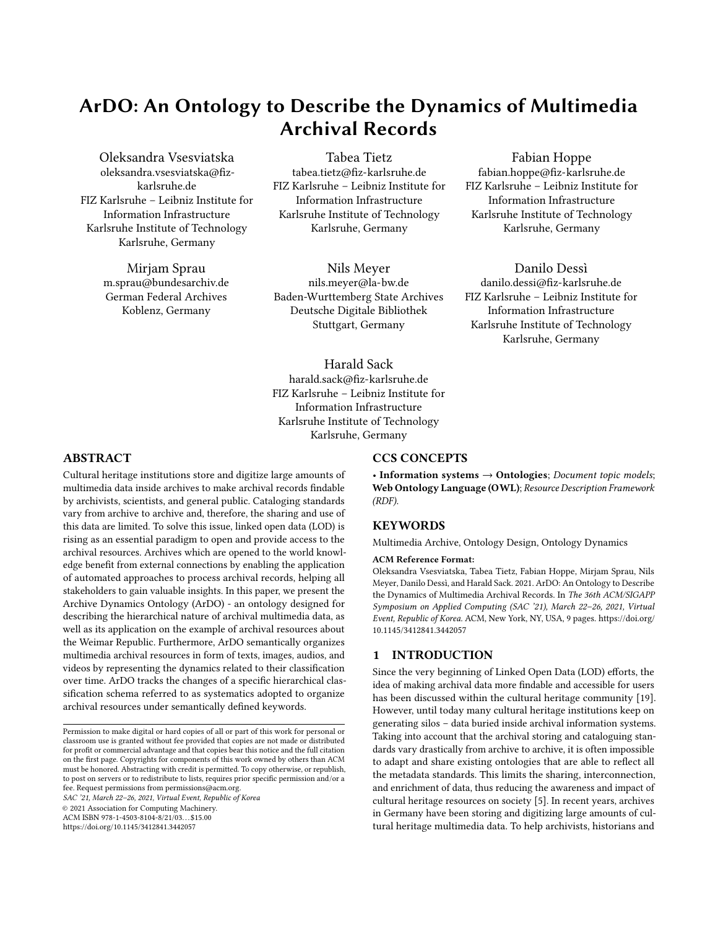their own area of interest. However, it is worth to note that this classification scheme is highly dynamic, strongly depends on the target archive, and must be accordingly adapted to provide access to additional new records within the same subject specific platform. Hence, in the design process it was agreed with the experts to depict this categorical hierarchy with a depth of three: the most specific semantic annotation ardo:Keyword is related to a general class ardo:Subcategory via the object property ardo:is\_keyword\_of, while ardo:Subcategory is linked to a root class ardo:Category via ardo:is\_subcategory\_of. Both ardo:is\_keyword\_of and ardo:is\_subcategory\_of are sub-properties of skos:broader. Similarly, the two new properties provide a direct hierarchical link between two concepts, however their semantics refined by range restrictions is more expressive for our use case.

ArDO allows multiple assignments of keywords. For example, the keyword Abortion may be examined from health, legal or social perspective, and accordingly be asserted to subcategories such as Crime and Criminal Justice with the upper category Justice and Law Enforcement, subcategory Health Care and upper category Health, and finally to Family and Marriage from Society and Social Issues.

Digitization is a dynamic process, as it usually covers documents piecemeal. As information contained in these documents may not always be predictable in the beginning of the digitization process, we argue that categorical systematics should not be regarded as 'static'. Unlike other ontologies, ArDO enables to keep track of changes in a systematics by connecting its entities with the version of the systematics. DynSyst covers the following aspects of a systematics refinement:

- A new concept is added to the systematics (classes Keyword, Subcategory, Category).
- A concept is deleted from the systematics.
- A concept changes its hierarchical level, for example, a keyword becomes a subcategory.

DynSyst covers all changes of the systematics by applying two atomic operations: insertion and deletion.

<span id="page-5-0"></span>

Figure 4: A sample systematics. The reader can see how keywords, subcategories, and categories are linked among each other and to the systematics individuals.

<span id="page-5-1"></span>

Figure 5: The illustration of an insertion operation exemplified by the case of adding a new keyword to a systematics. Open arrowheads illustrate the relation **pav:hasVersion**.

An initial systematics is depicted in Figure [4,](#page-5-0) where all individuals that exist in the current classification scheme are connected to an individual of the class Systematics (e.g., "systematics1.0") via property pav:hasVersion. Since with every subsequent version a new individual is added to the class Systematics, a pointer denotes the latest version. This is indicated by adding the RDF triple, e.g. <ardo:systematics1.0, rdfs:comment, "current version"@en>. The following subsections describe the primitive operations that are applied to monitor changes in the systematics.

<span id="page-5-2"></span>4.2.1 Insertion. Insertion is used if a new concept (i.e., a keyword, subcategory, or category) is added to the systematics. DynSyst introduces five steps to display the process in the ontology:

- (1) A new individual (e.g., the keyword gendarmerie) is defined.
- (2) Relations between the new individual and the concepts of other hierarchical levels via is\_keyword\_of and/or is\_subcategory\_of are created (e.g., the keyword gendarmerie is linked to the subcategory police).
- (3) A new individual of class ardo:Systematics is created (e.g., systematics1.1).
- (4) All already existing individuals of classes ardo:Keyword, ardo:Subcategory, and ardo:Category that also exist in the new systematics are linked to it via pav:hasVersion (police, gendarmerie, etc. are connected to systematics1.1).
- (5) The pointer "current version" is deleted from the previous systematics individual and added to the latest systematics individual.

Figure [5](#page-5-1) illustrates the workflow of systematics refinement using the example of a new keyword that was added to a systematics.

4.2.2 Deletion. During the digitization process some concepts introduced in the beginning may become unrepresentative or absorbed by other concepts, and thus deleted from a systematics. Figure [6](#page-6-1) demonstrates the deletion procedure in DynSyst which corresponds to steps 3-5 in Section [4.2.1.](#page-5-2)

In case a concept changes its hierarchical position in a systematics, for example, the keyword political party becomes a subcategory which then covers more specific keywords such as German People's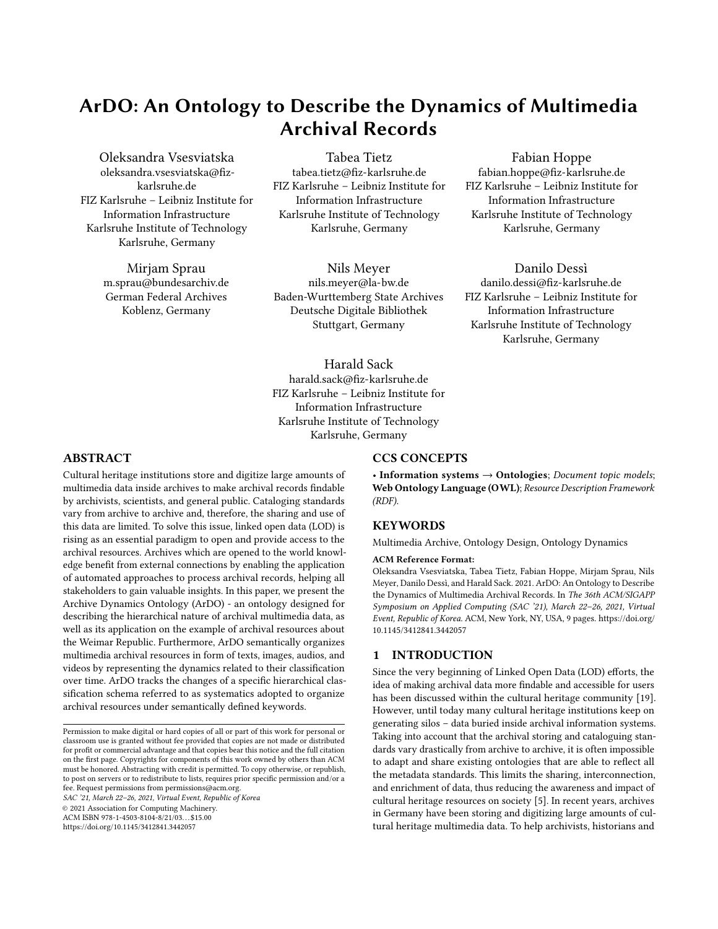ArDO: An Ontology to Describe the Dynamics of Multimedia Archival Records SAC '21, March 22–26, 2021, Virtual Event, Republic of Korea

<span id="page-6-1"></span>

Figure 6: Deletion procedure exemplified by the case of deleting a root category from a systematics. Open arrowheads illustrate the relation **pav:hasVersion**. The reader notices that an individual of class **ardo:Category** is not linked to the new **ardo:Systematics** individual.

<span id="page-6-2"></span>

Figure 7: Deletion and insertion procedures when a keyword shifts its position to a subcategory. Open arrowheads illustrate the relation **pav:hasVersion**.

Party and National Socialist Freedom Movement, the union of deletion and insertion procedures is applied. Referring to our example, the keyword political party follows the steps of deletion, while the subcategory political party along with keywords German People's Party and National Socialist Freedom Movement are newly inserted into the systematics. Figure [7](#page-6-2) depicts the workflow of systematics refinement using the example of a hierarchical level change.

## 4.3 Mapping to External Resources

ArDO supports the mapping of concepts in a systematics to external resources, e.g., entities of general KGs like Wikidata [\[24\]](#page-8-21) or Integrated Authority File (GND) [\[2\]](#page-8-22) via owl: sameAs. Wikidata was launched in order to create a shared knowledge base and to connect structured data between all Wikipedia projects, while GND was developed to integrate the content of Name Authority File  $(PND)^{23}$  $(PND)^{23}$  $(PND)^{23}$ , Corporate Bodies Authority File  $(GKD)^{24}$  $(GKD)^{24}$  $(GKD)^{24}$ , Subject Head-ings Authority File (SWD)<sup>[25](#page-6-5)</sup> and Uniform Title File of the Deutsches

Musikarchiv (DMA-EST) $^{26}$  $^{26}$  $^{26}$ . Today both are used as central hubs to lift concepts from a closed to a public environment [\[18\]](#page-8-23). As already mentioned in Section [3,](#page-2-0) systematics and taxonomies for document labeling vary depending on the domain they are used for. Thus, if searching for more general concepts of a keyword, e.g., "espionage", the result will depend on the specific domain the systematics was introduced in. For example, in an encyclopedic or bibliographic systematics "crime" might be the appropriate classification, while in a systematics designed for archival resources the appropriate classification might be "institutions of foreign policy and sanctions".

Despite the different hierarchical assignment, mapping concepts from a local classification scheme to an external resource is fundamental for expanding the knowledge of these concepts. Such mapping provides access to information that is not available from archival records and allows to find data interconnections, which can be used to improve search and retrieval. For instance, it enables users to search an archival resource not only by a specific entity mentioned in a systematics, but also by concepts related to it (e.g., accessing archives tagged with "Genoa Conference (1922)" by searching for information about "Walther Rathenau"). Furthermore, it highly supports the automation of archive document classification, as e.g., described in [\[14\]](#page-8-24), where only limited descriptive metadata is available for semantic document classification. Since the concepts represented in archival systematics are often highly domain specific, in particular regarding geographic location and time, general KGs such as Wikidata might not contain appropriate identical mapping entities. To solve this issue, mapping has been relaxed by utilizing SKOS mapping vocabulary, in particular skos:broadMatch, skos:narrowMatch, skos:closeMatch, skos:relatedMatch to denote a more relaxed mapping for systematics concepts without exact matching Wikidata counterpart.

## <span id="page-6-0"></span>5 ONTOLOGY VALIDATION

In this section, the validity and correctness of the proposed ontology design are discussed.

#### 5.1 Verification and Error Provocation

During ontology development the reasoner HermiT  $^{27}$  $^{27}$  $^{27}$  (version 1.4.3.456) was regularly run in order to detect incoherence in the ontology design. In addition, ArDO was tested by manually creating inconsistencies in the ontology. In particular, individuals were injected as belonging to disjoint classes (e.g., ardo:Volume and ardo:Archive). It was evaluated whether the reasoner is able to spot introduced errors. Potential detected issues have been considered and fixed in the subsequent design step.

#### 5.2 Competency Question Verification

An evaluation of the ontology has been performed with respect to its requirements by verifying the appropriateness of the ontology in delivering correct answers to a set of competency questions (CQs) defined by the archival domain experts. Goal of this evaluation was to test whether the CQs could be converted into SPARQL queries

<span id="page-6-3"></span> $\overline{^{23}\text{https://en.wikipedia.org/wiki/Name\_Authority\_File}}$ 

<span id="page-6-4"></span><sup>24</sup>[https://en.wikipedia.org/wiki/Corporate\\_Bodies\\_Authority\\_File](https://en.wikipedia.org/wiki/Corporate_Bodies_Authority_File)

<span id="page-6-5"></span><sup>25</sup>[https://en.wikipedia.org/wiki/Subject\\_Headings\\_Authority\\_File](https://en.wikipedia.org/wiki/Subject_Headings_Authority_File)

<span id="page-6-6"></span> $^{\overline{26}\overline{\text{https}}://\text{portal.dnb.de/opac.htm?method}=\text{simpleSearch\&reset}=\text{true\&cq1Model}$ 

[true&query=partOf%3D01670763X&selectedCategory=any](https://portal.dnb.de/opac.htm?method=simpleSearch&reset=true&cqlMode=true&query=partOf%3D01670763X&selectedCategory=any)

<span id="page-6-7"></span><sup>27</sup><http://hermit-reasoner.com/>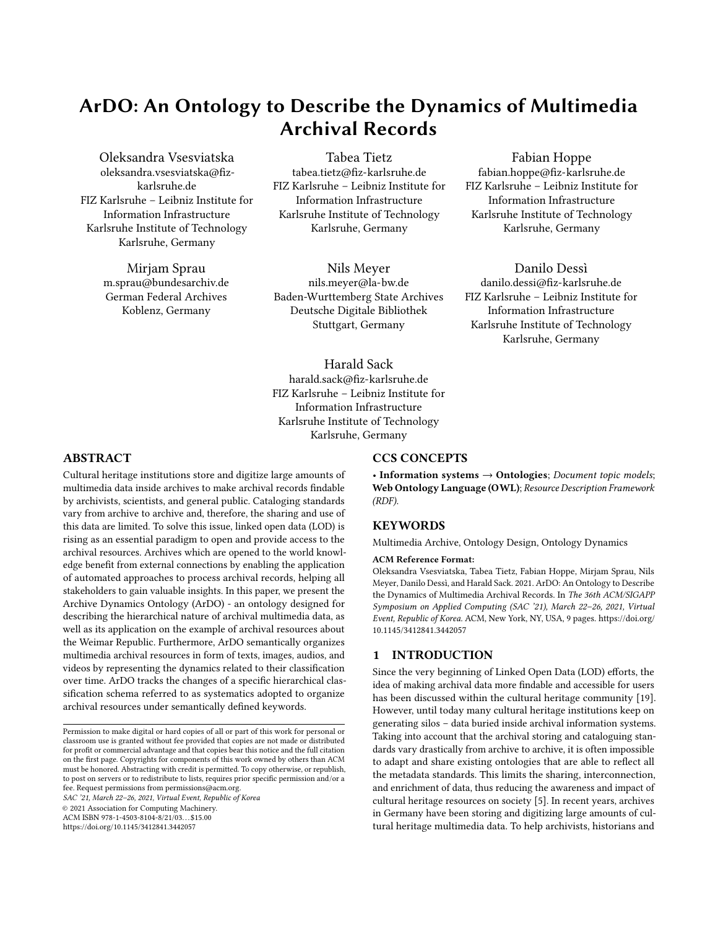```
PREFIX pav: <http://purl.org/pav/2.3#>
SELECT ?keyword_label ?subcategory_label
WHERE { ardo:S104 rdfs:label ?subcategory_label .
        ?keyword ardo:is_keyword\_of ardo:S104 ;
            pav:hasVersion ardo:systematics1_0 ;
            rdfs:label ?keyword_label . }
```
Figure 8: The SPARQL query for the C[Q11](#page-7-1) targeting the subcategory with identifier S104.

<span id="page-7-3"></span>Table 1: Sample of result of the C[Q11](#page-7-1) SPARQL query.

| keyword label      | subcategory label |
|--------------------|-------------------|
| Bürgermeister      | Kommunalpolitik   |
| Kommunale Finanzen | Kommunalpolitik   |
| Kommunalpoltik     | Kommunalpolitik   |
| Kreisverwaltung    | Kommunalpolitik   |
| Landkreis          | Kommunalpolitik   |
| Landratsamt        | Kommunalpolitik   |
| Städtetag          | Kommunalpolitik   |
| Stadtrat           | Kommunalpolitik   |

through the defined ontological vocabulary (cf. Figure [8](#page-7-2) as an example). The CQs consider all modeled aspects of the ontology such as the organization of the archival resources, the links between multimedia data representing the same archival resource, the annotations, and finally the possibility to enrich the ontology knowledge through external links. Moreover, CQs have been adopted to analyze the dynamic connections between the elements of the systematics and archival records. In particular, keywords are often deleted if they are too broad or too specific for a set of records, i.e. keywords are substituted if they do not represent the archival records well enough to provide the user with intuitive exploration possibilities. The CQs are listed in the following:

- (1) Given a resource with title X, which other archival resources does it belong to?
- (2) What are the titles of records labeled with keyword X?
- (3) Which images are linked to a text document with title X?
- (4) Which text documents are linked to image X?
- (5) What locations are associated to the archival resource X?
- (6) What is the definition of keyword X?
- (7) What is the description of location X?
- (8) Are all keywords used to label document X still valid under the latest version of systematics?
- (9) What keywords are associated with category X in different existing versions of the systematics?
- (10) What keywords have been added to the latest version of the systematics?
- <span id="page-7-1"></span>(11) What keywords belonged to subcategory X according to systematics Y?
- (12) What categories belonged to every existing version of the systematics?

For example, Table [1](#page-7-3) shows the result of the SPARQL query in Figure [8](#page-7-2) for C[Q11.](#page-7-1) Issues spotted by the testing, for example missing concepts (e.g., classes bibo:Image and bibo:AudioVisualDocument for multimedia resources that do not serve as separate archival files but complement the textual resources), relations such as ardo:provides\_multimedia, and property characteristics have been considered in a subsequent design phase, and the ontology has been updated accordingly.

## 5.3 OntoClean Validation

In addition, ArDO has also been validated according to the Onto-Clean methodology [\[12\]](#page-8-25). OntoClean distinguishes four so-called metaproperties: rigidity, identity, uniformity, and dependency, for which explicit inheritence rules must be fulfilled within the evaluated ontology. Considering the limited size of ArDO's subclass hierarchy, this evaluation was restricted to the ontology part depicted in Figure [1.](#page-3-10)

Rigidity: While ardo:Record according to OntoClean terminology must be considered rigid, i.e., it is essential for the existence of an individual, its subclasses ardo:Portfolio, ardo:Chapter, ardo:Volume, ardo:Archive, ardo:Dossier are considered not rigid properties, because they are not essential for the existence of an instance, which is still a Record although it might not be considered to belong to one of the remaining ordering criteria anymore. All classes are not considered anti rigid, because change is not mandatory. OntoClean demands that rigidity and non-rigidity cannot be inherited down the subclass hierarchy, a condition that obviously holds for the design of ArDO.

Identity: For ardo:Record, all instances of archival records provide a unique identification criteria. The same holds for ardo:Portfolio, ardo:Chapter, ardo:Volume, ardo:Archive, and ardo:Dossier which create new identity criteria, fulfilling the inheritance rule of OntoClean for identity.

Unity: ardo:Record can be considered a whole since we can devise fixed boundaries for each individual. The same holds for ardo:Portfolio, ardo:Chapter, ardo:Volume, ardo:Archive, and ardo:Dossier, which fulfills the inheritance rule for unity.

Dependence: The existence of a ardo:Record is not dependent on any external resource. However, instances of its subclasses ardo:Portfolio, ardo:Chapter, ardo:Volume, ardo:Archive, and ardo:Dossier are dependent of the existence of records. Again, OntoClean's constraint for depencence indicating that nondependent classes cannot be subclasses of dependent subclasses is fulfilled.

#### <span id="page-7-0"></span>6 CONCLUSION

This paper presents ArDO, an ontology developed for managing dynamics of multimedia archival resources. The proposed design allows to describe the semantics behind the target archive, keep track of annotations through a versioning mechanism which enables dynamics of a systematics, and to enrich the current archive through links to external linked data hubs. However, the choices made during the design process and the interaction with archivists have led to an ontology schema that can be adapted to other target scenarios with minor changes. In particular, on the basis of the target application, ArDO might need to be updated with proper metadata about the multimedia archival records. However, these changes do not affect the core infrastructure to model archival records and their relationships. Moreover, the systematics as it is